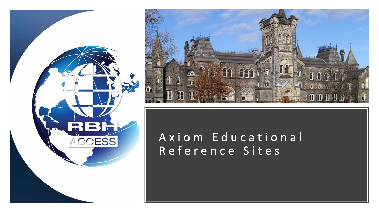



### Axiom Educational Reference Sites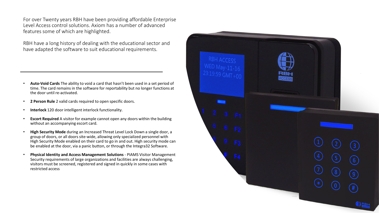For over Twenty years RBH have been providing affordable Enterprise Level Access control solutions. Axiom has a number of advanced features some of which are highlighted.

RBH have a long history of dealing with the educational sector and have adapted the software to suit educational requirements.

- **Auto-Void Cards** The ability to void a card that hasn't been used in a set period of time. The card remains in the software for reportability but no longer functions at the door until re-activated.
- **2 Person Rule** 2 valid cards required to open specific doors.
- **Interlock** 120 door intelligent interlock functionality.
- **Escort Required** A visitor for example cannot open any doors within the building without an accompanying escort card.
- **High Security Mode** during an Increased Threat Level Lock Down a single door, a group of doors, or all doors site-wide, allowing only specialized personnel with High Security Mode enabled on their card to go in and out. High security mode can be enabled at the door, via a panic button, or through the Integra32 Software.
- **Physical Identity and Access Management Solutions** PIAMS Visitor Management Security requirements of large organizations and facilities are always challenging, visitors must be screened, registered and signed in quickly in some cases with restricted access

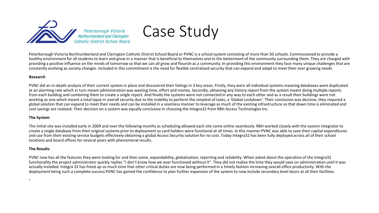



Peterborough Victoria Northumberland and Clarington Catholic District School Board or PVNC is a school system consisting of more than 50 schools. Commissioned to provide a healthy environment for all students to learn and grow in a manner that is beneficial to themselves and to the betterment of the community surrounding them. They are charged with providing a positive influence on the minds of tomorrow so that we can all grow and flourish as a community. In providing this environment they face many unique challenges that are constantly evolving as society changes. Included in this commitment is the need for flexible centralized security that can expand and adapt to meet their ever growing needs

#### **Research**

PVNC did an in-depth analysis of their current system in place and discovered their failings in 3 key areas. Firstly, they were all individual systems meaning databases were duplicated at an alarming rate which in turn meant administration was wasting time, effort and money. Secondly, obtaining any history report from the system meant doing multiple reports from each building and combining them to create a single report. And finally the systems were not connected in any way to each other and as a result their buildings were not working as one which meant a total lapse in overall security due to the inability to perform the simplest of tasks, a 'Global Lockdown'. Their conclusion was decisive, they required a global solution that can expand to meet their needs and can be installed in a seamless manner to leverage as much of the existing infrastructure so that down time is eliminated and cost savings are realized. Their decision on a system was equally conclusive in choosing the Integra32 from RBH Access Technologies Inc.

#### **The System**

The initial site was installed early in 2009 and over the following months as scheduling allowed each site came online seamlessly. RBH worked closely with the system integrator to create a single database from their original systems prior to deployment so card holders were functional at all times. In this manner PVNC was able to save their capital expenditures and use from their existing service budgets effectively obtaining a global Access Security solution for no cost. Today Integra32 has been fully deployed across all of their school locations and board offices for several years with phenomenal results.

#### **The Results**

•

PVNC now has all the features they were looking for and then some, expandability, globalization, reporting and reliability. When asked about the operation of the Integra32 functionality the project administrator quickly replies "I don't know how we ever functioned without it". They did not realize the time they would save on administration until it was actually installed. Integra 32 has freed up so much time that other critical duties are now being performed in a timely fashion increasing overall office productivity. With the deployment being such a complete success PVNC has gained the confidence to plan further expansion of the system to now include secondary level doors at all their facilities.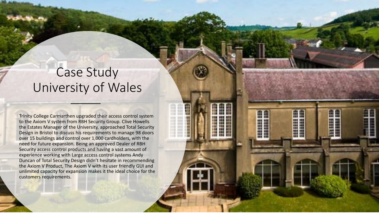## Case Study University of Wales

Trinity College Carmarthen upgraded their access control system to the Axiom V system from RBH Security Group. Clive Howells the Estates Manager of the University, approached Total Security Design in Bristol to discuss his requirements to manage 98 doors over 15 buildings and control over 1,000 cardholders, with the need for future expansion. Being an approved Dealer of RBH Security access control products and having a vast amount of experience working with Large access control systems Andy Duncan of Total Security Design didn't hesitate in recommending the Axiom V Product, The Axiom V with its user friendly GUI and unlimited capacity for expansion makes it the ideal choice for the customers requirements.

88